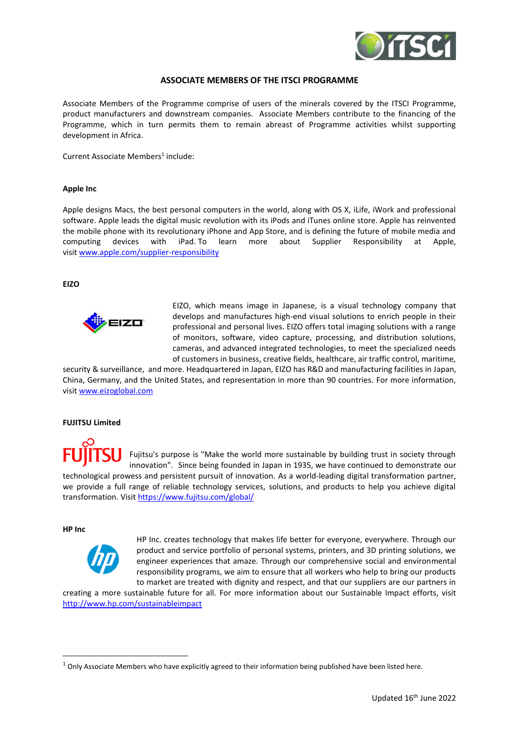

# **ASSOCIATE MEMBERS OF THE ITSCI PROGRAMME**

Associate Members of the Programme comprise of users of the minerals covered by the ITSCI Programme, product manufacturers and downstream companies. Associate Members contribute to the financing of the Programme, which in turn permits them to remain abreast of Programme activities whilst supporting development in Africa.

Current Associate Members<sup>1</sup> include:

## **Apple Inc**

Apple designs Macs, the best personal computers in the world, along with OS X, iLife, iWork and professional software. Apple leads the digital music revolution with its iPods and iTunes online store. Apple has reinvented the mobile phone with its revolutionary iPhone and App Store, and is defining the future of mobile media and computing devices with iPad. To learn more about Supplier Responsibility at Apple, visit [www.apple.com/supplier-responsibility](http://www.apple.com/supplier-responsibility)

## **EIZO**



EIZO, which means image in Japanese, is a visual technology company that develops and manufactures high-end visual solutions to enrich people in their professional and personal lives. EIZO offers total imaging solutions with a range of monitors, software, video capture, processing, and distribution solutions, cameras, and advanced integrated technologies, to meet the specialized needs of customers in business, creative fields, healthcare, air traffic control, maritime,

security & surveillance, and more. Headquartered in Japan, EIZO has R&D and manufacturing facilities in Japan, China, Germany, and the United States, and representation in more than 90 countries. For more information, visi[t www.eizoglobal.com](file:///C:/Users/marie.ITR/Dropbox%20(ITRI)/iTSCi%20Company%20Information/4-%20Online%20Membership%20List/Associate%20Members/www.eizoglobal.com)

#### **FUJITSU Limited**



Fujitsu's purpose is "Make the world more sustainable by building trust in society through innovation". Since being founded in Japan in 1935, we have continued to demonstrate our technological prowess and persistent pursuit of innovation. As a world-leading digital transformation partner, we provide a full range of reliable technology services, solutions, and products to help you achieve digital transformation. Visit<https://www.fujitsu.com/global/>

### **HP Inc**



HP Inc. creates technology that makes life better for everyone, everywhere. Through our product and service portfolio of personal systems, printers, and 3D printing solutions, we engineer experiences that amaze. Through our comprehensive social and environmental responsibility programs, we aim to ensure that all workers who help to bring our products to market are treated with dignity and respect, and that our suppliers are our partners in

creating a more sustainable future for all. For more information about our Sustainable Impact efforts, visit <http://www.hp.com/sustainableimpact>

 $1$  Only Associate Members who have explicitly agreed to their information being published have been listed here.